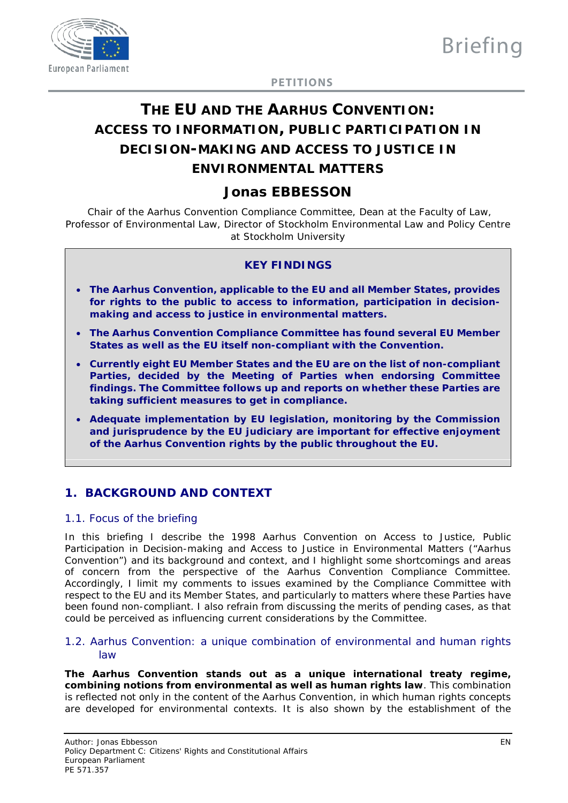

**PETITIONS**

# **THE EU AND THE AARHUS CONVENTION: ACCESS TO INFORMATION, PUBLIC PARTICIPATION IN DECISION-MAKING AND ACCESS TO JUSTICE IN ENVIRONMENTAL MATTERS**

# **Jonas EBBESSON**

*Chair of the Aarhus Convention Compliance Committee, Dean at the Faculty of Law, Professor of Environmental Law, Director of Stockholm Environmental Law and Policy Centre at Stockholm University*

### **KEY FINDINGS**

- **The Aarhus Convention, applicable to the EU and all Member States, provides for rights to the public to access to information, participation in decisionmaking and access to justice in environmental matters.**
- **The Aarhus Convention Compliance Committee has found several EU Member States as well as the EU itself non-compliant with the Convention.**
- **Currently eight EU Member States and the EU are on the list of non-compliant Parties, decided by the Meeting of Parties when endorsing Committee findings. The Committee follows up and reports on whether these Parties are taking sufficient measures to get in compliance.**
- **Adequate implementation by EU legislation, monitoring by the Commission and jurisprudence by the EU judiciary are important for effective enjoyment of the Aarhus Convention rights by the public throughout the EU.**

# **1. BACKGROUND AND CONTEXT**

# 1.1. Focus of the briefing

In this briefing I describe the 1998 Aarhus Convention on Access to Justice, Public Participation in Decision-making and Access to Justice in Environmental Matters ("Aarhus Convention") and its background and context, and I highlight some shortcomings and areas of concern *from the perspective of the Aarhus Convention Compliance Committee*. Accordingly, I limit my comments to issues examined by the Compliance Committee with respect to the EU and its Member States, and particularly to matters where these Parties have been found non-compliant. I also refrain from discussing the merits of pending cases, as that could be perceived as influencing current considerations by the Committee.

#### 1.2. Aarhus Convention: a unique combination of environmental and human rights law

**The Aarhus Convention stands out as a unique international treaty regime, combining notions from environmental as well as human rights law**. This combination is reflected not only in the content of the Aarhus Convention, in which human rights concepts are developed for environmental contexts. It is also shown by the establishment of the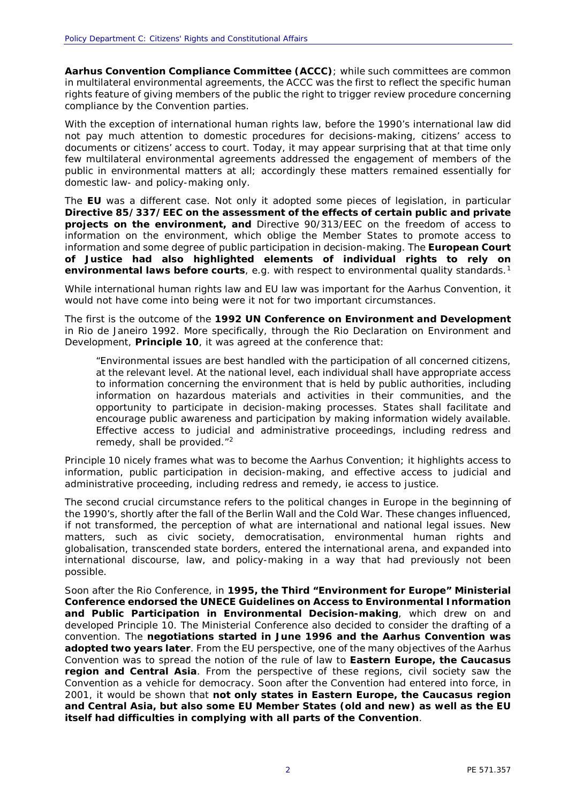**Aarhus Convention Compliance Committee (ACCC)**; while such committees are common in multilateral environmental agreements, the ACCC was the first to reflect the specific human rights feature of giving members of the public the right to trigger review procedure concerning compliance by the Convention parties.

With the exception of international human rights law, before the 1990's international law did not pay much attention to domestic procedures for decisions-making, citizens' access to documents or citizens' access to court. Today, it may appear surprising that at that time only few multilateral environmental agreements addressed the engagement of members of the public in environmental matters at all; accordingly these matters remained essentially for domestic law- and policy-making only.

The **EU** was a different case. Not only it adopted some pieces of legislation, in particular **Directive 85/337/EEC on the assessment of the effects of certain public and private projects on the environment, and** Directive 90/313/EEC on the freedom of access to information on the environment, which oblige the Member States to promote access to information and some degree of public participation in decision-making. The **European Court of Justice had also highlighted elements of individual rights to rely on environmental laws before courts**, e.g. with respect to environmental quality standards.<sup>[1](#page-9-0)</sup>

While international human rights law and EU law was important for the Aarhus Convention, it would not have come into being were it not for two important circumstances.

The first is the outcome of the **1992 UN Conference on Environment and Development** in Rio de Janeiro 1992. More specifically, through the Rio Declaration on Environment and Development, **Principle 10**, it was agreed at the conference that:

*"Environmental issues are best handled with the participation of all concerned citizens, at the relevant level. At the national level, each individual shall have appropriate access to information concerning the environment that is held by public authorities, including information on hazardous materials and activities in their communities, and the opportunity to participate in decision-making processes. States shall facilitate and encourage public awareness and participation by making information widely available. Effective access to judicial and administrative proceedings, including redress and remedy, shall be provided."[2](#page-9-1)*

Principle 10 nicely frames what was to become the Aarhus Convention; it highlights access to information, public participation in decision-making, and effective access to judicial and administrative proceeding, including redress and remedy, ie access to justice.

The second crucial circumstance refers to the political changes in Europe in the beginning of the 1990's, shortly after the fall of the Berlin Wall and the Cold War. These changes influenced, if not transformed, the perception of what are international and national legal issues. New matters, such as civic society, democratisation, environmental human rights and globalisation, transcended state borders, entered the international arena, and expanded into international discourse, law, and policy-making in a way that had previously not been possible.

Soon after the Rio Conference, in **1995, the Third "Environment for Europe" Ministerial Conference endorsed the UNECE Guidelines on Access to Environmental Information and Public Participation in Environmental Decision-making**, which drew on and developed Principle 10. The Ministerial Conference also decided to consider the drafting of a convention. The **negotiations started in June 1996 and the Aarhus Convention was adopted two years later**. From the EU perspective, one of the many objectives of the Aarhus Convention was to spread the notion of the rule of law to **Eastern Europe, the Caucasus region and Central Asia**. From the perspective of these regions, civil society saw the Convention as a vehicle for democracy. Soon after the Convention had entered into force, in 2001, it would be shown that **not only states in Eastern Europe, the Caucasus region and Central Asia, but also some EU Member States (old and new) as well as the EU itself had difficulties in complying with all parts of the Convention**.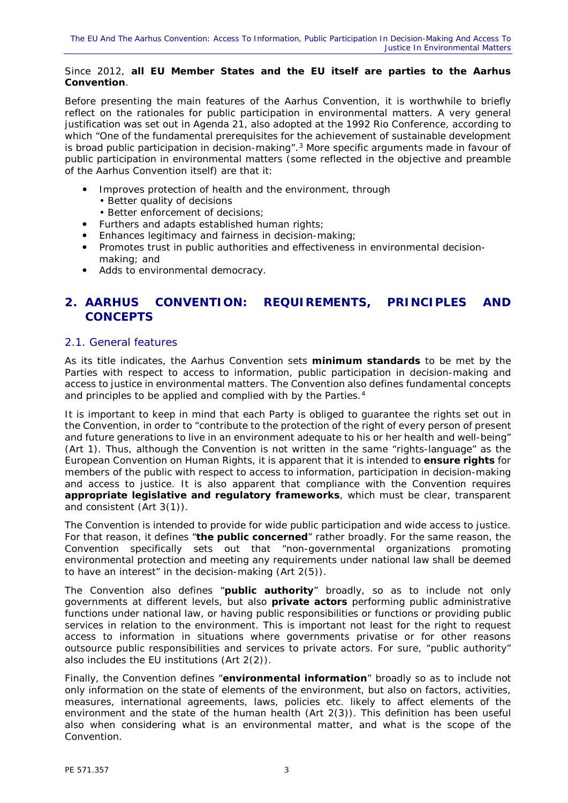#### Since 2012, **all EU Member States and the EU itself are parties to the Aarhus Convention**.

Before presenting the main features of the Aarhus Convention, it is worthwhile to briefly reflect on the rationales for public participation in environmental matters. A very general justification was set out in Agenda 21, also adopted at the 1992 Rio Conference, according to which "One of the fundamental prerequisites for the achievement of *sustainable development* is broad public participation in decision-making". $3$  More specific arguments made in favour of public participation in environmental matters (some reflected in the objective and preamble of the Aarhus Convention itself) are that it:

- Improves *protection* of health and the environment, through
	- Better *quality* of decisions
	- Better *enforcement* of decisions;
- Furthers and adapts established *human rights*;
- Enhances *legitimacy* and *fairness* in decision-making;
- Promotes *trust* in public authorities and *effectiveness* in environmental decisionmaking; and
- Adds to *environmental democracy*.

# **2. AARHUS CONVENTION: REQUIREMENTS, PRINCIPLES AND CONCEPTS**

# 2.1. General features

As its title indicates, the Aarhus Convention sets **minimum standards** to be met by the Parties with respect to access to information, public participation in decision-making and access to justice in environmental matters. The Convention also defines fundamental concepts and principles to be applied and complied with by the Parties.<sup>[4](#page-9-3)</sup>

It is important to keep in mind that each Party is obliged to guarantee the rights set out in the Convention, in order to "contribute to the protection of the right of every person of present and future generations to live in an environment adequate to his or her health and well-being" (Art 1). Thus, although the Convention is not written in the same "rights-language" as the European Convention on Human Rights, it is apparent that it is intended to **ensure** *rights* for members of the public with respect to access to information, participation in decision-making and access to justice. It is also apparent that compliance with the Convention requires **appropriate legislative and regulatory frameworks**, which must be clear, transparent and consistent (Art 3(1)).

The Convention is intended to provide for wide public participation and wide access to justice. For that reason, it defines "**the public concerned**" rather broadly. For the same reason, the Convention specifically sets out that "non-governmental organizations promoting environmental protection and meeting any requirements under national law shall be deemed to have an interest" in the decision-making (Art 2(5)).

The Convention also defines "**public authority**" broadly, so as to include not only governments at different levels, but also **private actors** performing public administrative functions under national law, or having public responsibilities or functions or providing public services in relation to the environment. This is important not least for the right to request access to information in situations where governments privatise or for other reasons outsource public responsibilities and services to private actors. For sure, "public authority" also includes the EU institutions (Art 2(2)).

Finally, the Convention defines "**environmental information**" broadly so as to include not only information on the state of elements of the environment, but also on factors, activities, measures, international agreements, laws, policies etc. likely to affect elements of the environment and the state of the human health (Art 2(3)). This definition has been useful also when considering what is an environmental matter, and what is the scope of the Convention.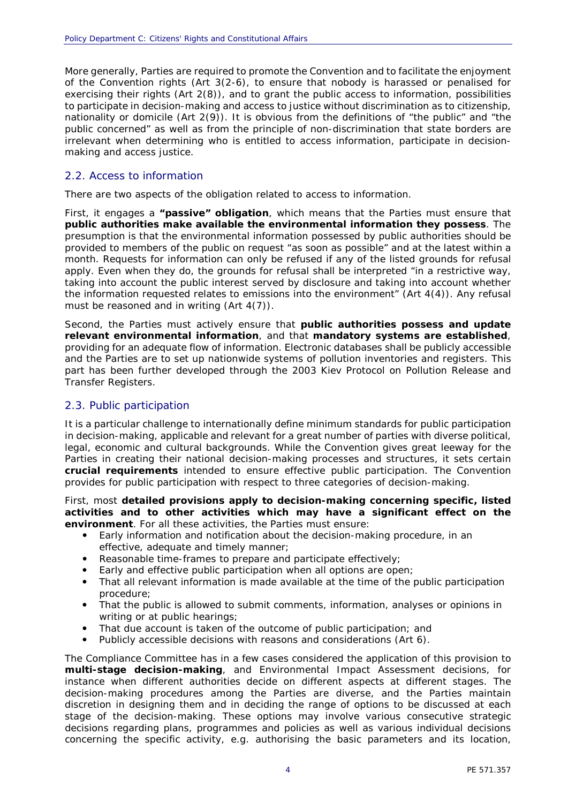More generally, Parties are required to promote the Convention and to facilitate the enjoyment of the Convention rights (Art 3(2-6), to ensure that nobody is harassed or penalised for exercising their rights (Art 2(8)), and to grant the public access to information, possibilities to participate in decision-making and access to justice without discrimination as to citizenship, nationality or domicile (Art 2(9)). It is obvious from the definitions of "the public" and "the public concerned" as well as from the principle of non-discrimination that state borders are irrelevant when determining who is entitled to access information, participate in decisionmaking and access justice.

#### 2.2. Access to information

There are two aspects of the obligation related to access to information.

First, it engages a **"passive" obligation**, which means that the Parties must ensure that **public authorities** *make available* **the environmental information they possess**. The presumption is that the environmental information possessed by public authorities should be provided to members of the public on request "as soon as possible" and at the latest within a month. Requests for information can only be refused if any of the listed grounds for refusal apply. Even when they do, the grounds for refusal shall be interpreted "in a restrictive way, taking into account the public interest served by disclosure and taking into account whether the information requested relates to emissions into the environment" (Art 4(4)). Any refusal must be reasoned and in writing (Art 4(7)).

Second, the Parties must actively ensure that **public authorities** *possess and update* **relevant environmental information**, and that **mandatory systems are established**, providing for an adequate flow of information. Electronic databases shall be publicly accessible and the Parties are to set up nationwide systems of pollution inventories and registers. This part has been further developed through the 2003 Kiev Protocol on Pollution Release and Transfer Registers.

#### 2.3. Public participation

It is a particular challenge to internationally define minimum standards for public participation in decision-making, applicable and relevant for a great number of parties with diverse political, legal, economic and cultural backgrounds. While the Convention gives great leeway for the Parties in creating their national decision-making processes and structures, it sets certain **crucial requirements** intended to ensure effective public participation. The Convention provides for public participation with respect to three categories of decision-making.

#### First, most **detailed provisions apply to decision-making concerning** *specific, listed activities* **and to** *other activities* **which may have a** *significant effect* **on the environment**. For all these activities, the Parties must ensure:

- *Early information and notification* about the decision-making procedure, in an effective, adequate and timely manner;
- *Reasonable time-frames* to prepare and participate effectively;
- *Early and effective public participation* when all options are open;
- That *all relevant information* is made available at the time of the public participation procedure;
- That the public is *allowed to submit comments, information, analyses or opinions* in writing or at public hearings;
- That *due account* is taken of the *outcome* of public participation; and
- Publicly accessible *decisions* with *reasons* and *considerations* (Art 6).

The Compliance Committee has in a few cases considered the application of this provision to **multi-stage decision-making**, and Environmental Impact Assessment decisions, for instance when different authorities decide on different aspects at different stages. The decision-making procedures among the Parties are diverse, and the Parties maintain discretion in designing them and in deciding the range of options to be discussed at each stage of the decision-making. These options may involve various consecutive strategic decisions regarding plans, programmes and policies as well as various individual decisions concerning the specific activity, e.g. authorising the basic parameters and its location,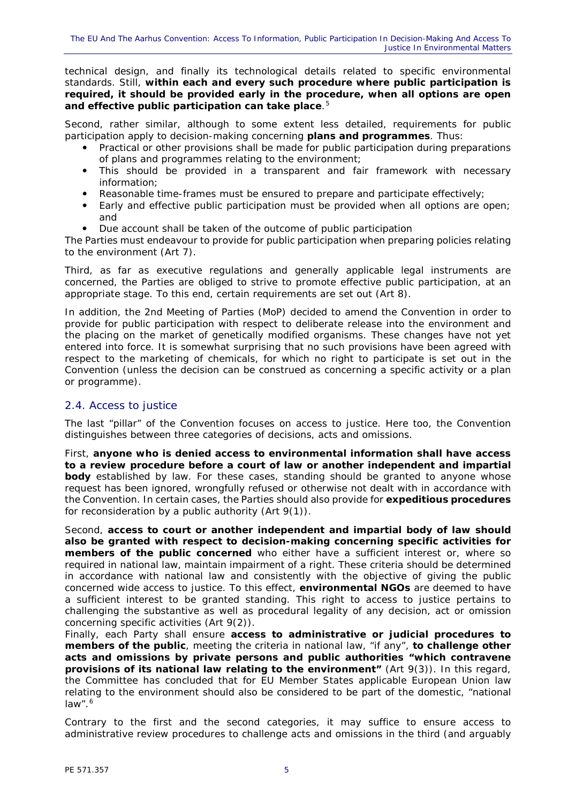technical design, and finally its technological details related to specific environmental standards. Still, *within each and every such procedure* **where public participation is required, it should be provided early in the procedure, when all options are open and effective public participation can take place**.[5](#page-9-4)

Second, rather similar, although to some extent less detailed, requirements for public participation apply to decision-making concerning *plans and programmes*. Thus:

- Practical or other provisions shall be made for public participation during *preparations* of plans and programmes relating to the environment;
- This should be provided in a *transparent* and *fair framework* with necessary *information;*
- *Reasonable time-frames* must be ensured to prepare and participate effectively;
- *Early* and *effective* public participation must be provided when all options are open; and
- *Due account* shall be taken of the *outcome* of public participation

The Parties must endeavour to provide for public participation when preparing *policies* relating to the environment (Art 7).

Third, as far as *executive regulations* and *generally applicable legal instruments* are concerned, the Parties are obliged to strive to promote effective public participation, at an appropriate stage. To this end, certain requirements are set out (Art 8).

In addition, the 2nd Meeting of Parties (MoP) decided to amend the Convention in order to provide for public participation with respect to deliberate release into the environment and the placing on the market of *genetically modified organisms*. These changes have not yet entered into force. It is somewhat surprising that no such provisions have been agreed with respect to the marketing of chemicals, for which no right to participate is set out in the Convention (unless the decision can be construed as concerning a specific activity or a plan or programme).

# 2.4. Access to justice

The last "pillar" of the Convention focuses on access to justice. Here too, the Convention distinguishes between three categories of decisions, acts and omissions.

First, **anyone who is** *denied access to environmental information* **shall have access to a review procedure before a court of law or another independent and impartial body** established by law. For these cases, standing should be granted to anyone whose request has been ignored, wrongfully refused or otherwise not dealt with in accordance with the Convention. In certain cases, the Parties should also provide for **expeditious procedures** for reconsideration by a public authority (Art 9(1)).

Second, **access to court or another independent and impartial body of law should also be granted with respect to** *decision-making concerning specific activities* **for members of the public concerned** who either have a sufficient interest or, where so required in national law, maintain impairment of a right. These criteria should be determined in accordance with national law and consistently with the objective of giving the public concerned wide access to justice. To this effect, **environmental NGOs** are deemed to have a sufficient interest to be granted standing. This right to access to justice pertains to challenging the substantive as well as procedural legality of any decision, act or omission concerning specific activities (Art 9(2)).

Finally, each Party shall ensure **access to administrative or judicial procedures to members of the public**, meeting the criteria in national law, "if any", **to challenge** *other acts and omissions* **by private persons and public authorities "which contravene provisions of its national law relating to the environment"** (Art 9(3)). In this regard, the Committee has concluded that for EU Member States applicable European Union law relating to the environment should also be considered to be part of the domestic, "national  $law".^6$  $law".^6$ 

Contrary to the first and the second categories, it may suffice to ensure access to administrative review procedures to challenge acts and omissions in the third (and arguably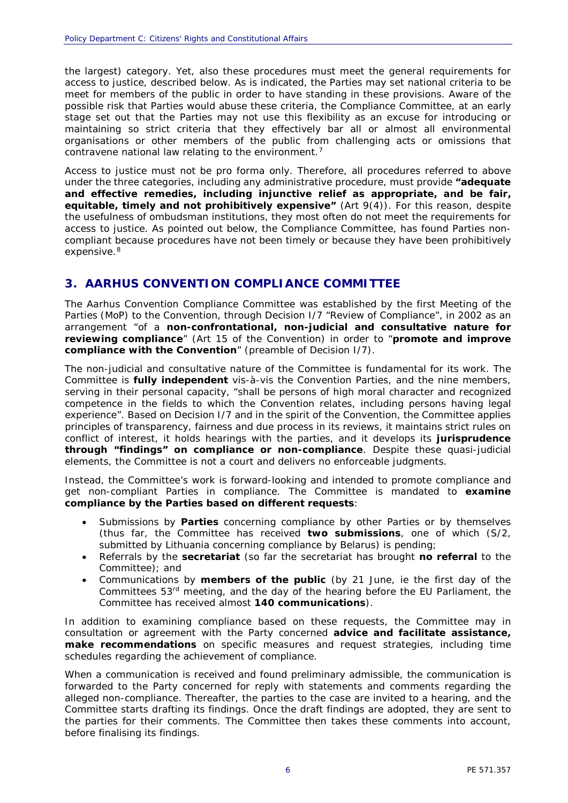the largest) category. Yet, also these procedures must meet the general requirements for access to justice, described below. As is indicated, the Parties may set national criteria to be meet for members of the public in order to have standing in these provisions. Aware of the possible risk that Parties would abuse these criteria, the Compliance Committee, at an early stage set out that the Parties may not use this flexibility as an excuse for introducing or maintaining so strict criteria that they effectively bar all or almost all environmental organisations or other members of the public from challenging acts or omissions that contravene national law relating to the environment.<sup>[7](#page-9-6)</sup>

Access to justice must not be pro forma only. Therefore, *all procedures* referred to above under the three categories, including any administrative procedure, must provide **"adequate and effective** *remedies***, including injunctive relief as appropriate, and be fair, equitable, timely and not prohibitively expensive"** (Art 9(4)). For this reason, despite the usefulness of ombudsman institutions, they most often do not meet the requirements for access to justice. As pointed out below, the Compliance Committee, has found Parties noncompliant because procedures have not been timely or because they have been prohibitively expensive.<sup>[8](#page-9-7)</sup>

# **3. AARHUS CONVENTION COMPLIANCE COMMITTEE**

The Aarhus Convention Compliance Committee was established by the first Meeting of the Parties (MoP) to the Convention, through Decision I/7 "Review of Compliance", in 2002 as an arrangement "of a **non-confrontational, non-judicial and consultative nature for reviewing compliance**" (Art 15 of the Convention) in order to "**promote and improve compliance with the Convention**" (preamble of Decision I/7).

The non-judicial and consultative nature of the Committee is fundamental for its work. The Committee is **fully independent** vis-à-vis the Convention Parties, and the nine members, serving in their personal capacity, "shall be persons of high moral character and recognized competence in the fields to which the Convention relates, including persons having legal experience". Based on Decision I/7 and in the spirit of the Convention, the Committee applies principles of transparency, fairness and due process in its reviews, it maintains strict rules on conflict of interest, it holds hearings with the parties, and it develops its **jurisprudence through "findings" on compliance or non-compliance**. Despite these quasi-judicial elements, the Committee is not a court and delivers no enforceable judgments.

Instead, the Committee's work is forward-looking and intended to promote compliance and get non-compliant Parties in compliance. The Committee is mandated to *examine compliance* **by the Parties based on different requests**:

- *Submissions* by **Parties** concerning compliance by other Parties or by themselves (thus far, the Committee has received **two submissions**, one of which (S/2, submitted by Lithuania concerning compliance by Belarus) is pending;
- *Referrals* by the **secretariat** (so far the secretariat has brought **no referral** to the Committee); and
- *Communications* by **members of the public** (by 21 June, ie the first day of the Committees 53rd meeting, and the day of the hearing before the EU Parliament, the Committee has received almost **140 communications**).

In addition to examining compliance based on these requests, the Committee may in consultation or agreement with the Party concerned *advice* **and** *facilitate assistance***,**  *make recommendations* on specific measures and request strategies, including time schedules regarding the achievement of compliance.

When a communication is received and found *preliminary admissible*, the communication is forwarded to the Party concerned for reply with statements and comments regarding the alleged non-compliance. Thereafter, the parties to the case are invited to a hearing, and the Committee starts drafting its findings. Once the draft findings are adopted, they are sent to the parties for their comments. The Committee then takes these comments into account, before finalising its findings.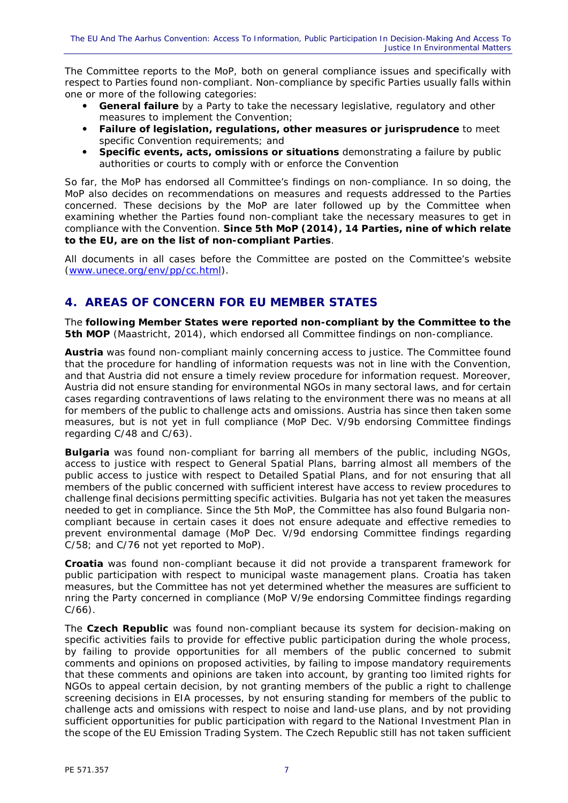The Committee reports to the MoP, both on general compliance issues and specifically with respect to Parties found non-compliant. Non-compliance by specific Parties usually falls within one or more of the following categories:

- **General failure** by a Party to take the necessary legislative, regulatory and other measures to implement the Convention;
- *Failure of legislation, regulations, other measures or jurisprudence* to meet specific Convention requirements; and
- *Specific events, acts, omissions or situations* demonstrating a failure by public authorities or courts to comply with or enforce the Convention

So far, the MoP has endorsed all Committee's findings on non-compliance. In so doing, the MoP also decides on recommendations on measures and requests addressed to the Parties concerned. These decisions by the MoP are later followed up by the Committee when examining whether the Parties found non-compliant take the necessary measures to get in compliance with the Convention. **Since 5th MoP (2014), 14 Parties, nine of which relate to the EU, are on the list of non-compliant Parties**.

All documents in all cases before the Committee are posted on the Committee's website [\(www.unece.org/env/pp/cc.html\)](http://www.unece.org/env/pp/cc.html).

# **4. AREAS OF CONCERN FOR EU MEMBER STATES**

The **following Member States were reported non-compliant by the Committee to the 5th MOP** (Maastricht, 2014), which endorsed all Committee findings on non-compliance.

*Austria* was found non-compliant mainly concerning access to justice. The Committee found that the procedure for handling of information requests was not in line with the Convention, and that Austria did not ensure a timely review procedure for information request. Moreover, Austria did not ensure standing for environmental NGOs in many sectoral laws, and for certain cases regarding contraventions of laws relating to the environment there was no means at all for members of the public to challenge acts and omissions. Austria has since then taken some measures, but is not yet in full compliance (MoP Dec. V/9b endorsing Committee findings regarding C/48 and C/63).

**Bulgaria** was found non-compliant for barring all members of the public, including NGOs, access to justice with respect to General Spatial Plans, barring almost all members of the public access to justice with respect to Detailed Spatial Plans, and for not ensuring that all members of the public concerned with sufficient interest have access to review procedures to challenge final decisions permitting specific activities. Bulgaria has not yet taken the measures needed to get in compliance. Since the 5th MoP, the Committee has also found Bulgaria noncompliant because in certain cases it does not ensure adequate and effective remedies to prevent environmental damage (MoP Dec. V/9d endorsing Committee findings regarding C/58; and C/76 not yet reported to MoP).

*Croatia* was found non-compliant because it did not provide a transparent framework for public participation with respect to municipal waste management plans. Croatia has taken measures, but the Committee has not yet determined whether the measures are sufficient to nring the Party concerned in compliance (MoP V/9e endorsing Committee findings regarding C/66).

The *Czech Republic* was found non-compliant because its system for decision-making on specific activities fails to provide for effective public participation during the whole process, by failing to provide opportunities for all members of the public concerned to submit comments and opinions on proposed activities, by failing to impose mandatory requirements that these comments and opinions are taken into account, by granting too limited rights for NGOs to appeal certain decision, by not granting members of the public a right to challenge screening decisions in EIA processes, by not ensuring standing for members of the public to challenge acts and omissions with respect to noise and land-use plans, and by not providing sufficient opportunities for public participation with regard to the National Investment Plan in the scope of the EU Emission Trading System. The Czech Republic still has not taken sufficient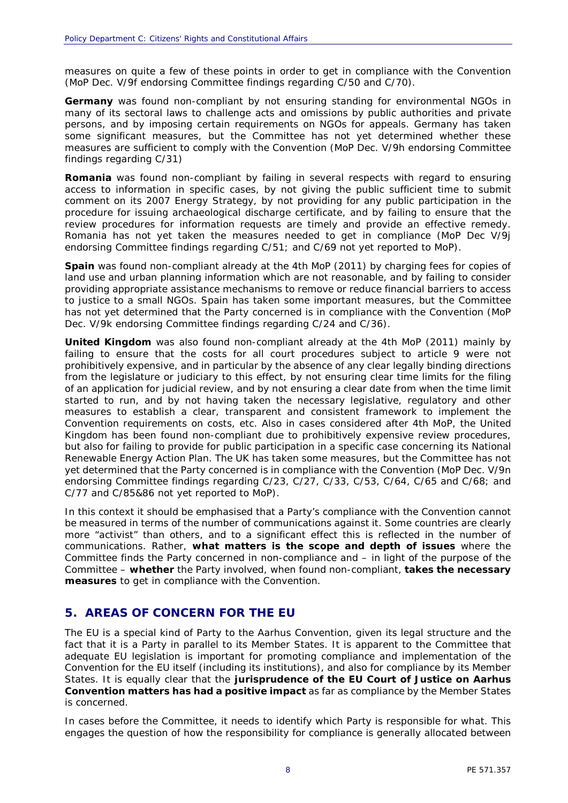measures on quite a few of these points in order to get in compliance with the Convention (MoP Dec. V/9f endorsing Committee findings regarding C/50 and C/70).

*Germany* was found non-compliant by not ensuring standing for environmental NGOs in many of its sectoral laws to challenge acts and omissions by public authorities and private persons, and by imposing certain requirements on NGOs for appeals. Germany has taken some significant measures, but the Committee has not yet determined whether these measures are sufficient to comply with the Convention (MoP Dec. V/9h endorsing Committee findings regarding C/31)

*Romania* was found non-compliant by failing in several respects with regard to ensuring access to information in specific cases, by not giving the public sufficient time to submit comment on its 2007 Energy Strategy, by not providing for any public participation in the procedure for issuing archaeological discharge certificate, and by failing to ensure that the review procedures for information requests are timely and provide an effective remedy. Romania has not yet taken the measures needed to get in compliance (MoP Dec V/9j endorsing Committee findings regarding C/51; and C/69 not yet reported to MoP).

**Spain** was found non-compliant already at the 4th MoP (2011) by charging fees for copies of land use and urban planning information which are not reasonable, and by failing to consider providing appropriate assistance mechanisms to remove or reduce financial barriers to access to justice to a small NGOs. Spain has taken some important measures, but the Committee has not yet determined that the Party concerned is in compliance with the Convention (MoP Dec. V/9k endorsing Committee findings regarding C/24 and C/36).

*United Kingdom* was also found non-compliant already at the 4th MoP (2011) mainly by failing to ensure that the costs for all court procedures subject to article 9 were not prohibitively expensive, and in particular by the absence of any clear legally binding directions from the legislature or judiciary to this effect, by not ensuring clear time limits for the filing of an application for judicial review, and by not ensuring a clear date from when the time limit started to run, and by not having taken the necessary legislative, regulatory and other measures to establish a clear, transparent and consistent framework to implement the Convention requirements on costs, etc. Also in cases considered after 4th MoP, the United Kingdom has been found non-compliant due to prohibitively expensive review procedures, but also for failing to provide for public participation in a specific case concerning its National Renewable Energy Action Plan. The UK has taken some measures, but the Committee has not yet determined that the Party concerned is in compliance with the Convention (MoP Dec. V/9n endorsing Committee findings regarding C/23, C/27, C/33, C/53, C/64, C/65 and C/68; and C/77 and C/85&86 not yet reported to MoP).

In this context it should be emphasised that a Party's compliance with the Convention cannot be measured in terms of the number of communications against it. Some countries are clearly more "activist" than others, and to a significant effect this is reflected in the number of communications. Rather, **what matters is the scope and depth of issues** where the Committee finds the Party concerned in non-compliance and – in light of the purpose of the Committee – **whether** the Party involved, when found non-compliant, **takes the necessary measures** to get in compliance with the Convention.

# **5. AREAS OF CONCERN FOR THE EU**

The EU is a special kind of Party to the Aarhus Convention, given its legal structure and the fact that it is a Party in parallel to its Member States. It is apparent to the Committee that adequate EU legislation is important for promoting compliance and implementation of the Convention for the EU itself (including its institutions), and also for compliance by its Member States. It is equally clear that the **jurisprudence of the EU Court of Justice on Aarhus Convention matters has had a positive impact** as far as compliance by the Member States is concerned.

In cases before the Committee, it needs to identify which Party is responsible for what. This engages the question of how the responsibility for compliance is generally allocated between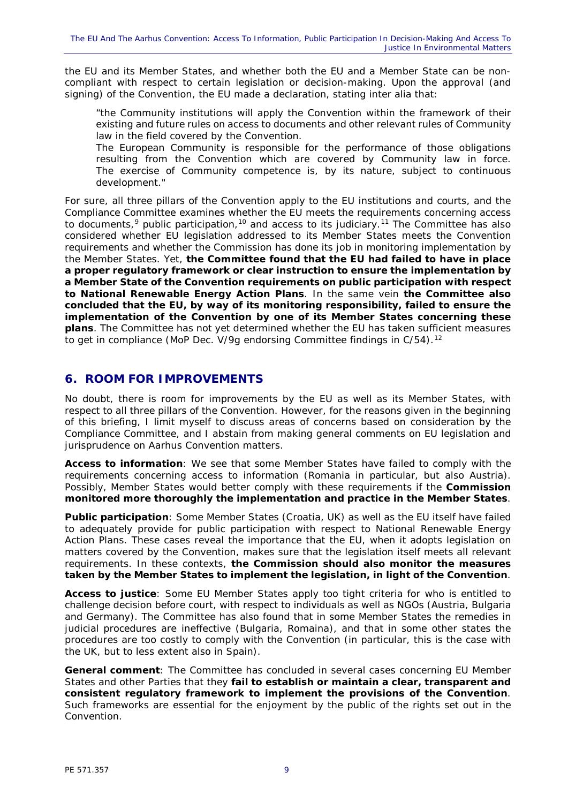the EU and its Member States, and whether both the EU and a Member State can be noncompliant with respect to certain legislation or decision-making. Upon the approval (and signing) of the Convention, the EU made a declaration, stating inter alia that:

*"the Community institutions will apply the Convention within the framework of their existing and future rules on access to documents and other relevant rules of Community law in the field covered by the Convention.*

*The European Community is responsible for the performance of those obligations resulting from the Convention which are covered by Community law in force. The exercise of Community competence is, by its nature, subject to continuous development."*

For sure, all three pillars of the Convention apply to the EU institutions and courts, and the Compliance Committee examines whether the EU meets the requirements concerning access to documents,<sup>[9](#page-9-8)</sup> public participation,<sup>[10](#page-9-9)</sup> and access to its judiciary.<sup>[11](#page-9-10)</sup> The Committee has also considered whether EU legislation addressed to its Member States meets the Convention requirements and whether the Commission has done its job in monitoring implementation by the Member States. Yet, **the Committee found that the EU had failed to have in place a proper regulatory framework or clear instruction to ensure the implementation by a Member State of the Convention requirements on public participation with respect to National Renewable Energy Action Plans**. In the same vein **the Committee also concluded that the EU, by way of its monitoring responsibility, failed to ensure the implementation of the Convention by one of its Member States concerning these plans**. The Committee has not yet determined whether the EU has taken sufficient measures to get in compliance (MoP Dec. V/9g endorsing Committee findings in C/54).<sup>[12](#page-9-11)</sup>

# **6. ROOM FOR IMPROVEMENTS**

No doubt, there is room for improvements by the EU as well as its Member States, with respect to all three pillars of the Convention. However, for the reasons given in the beginning of this briefing, I limit myself to discuss areas of concerns based on consideration by the Compliance Committee, and I abstain from making general comments on EU legislation and jurisprudence on Aarhus Convention matters.

*Access to information*: We see that some Member States have failed to comply with the requirements concerning access to information (Romania in particular, but also Austria). Possibly, Member States would better comply with these requirements if the **Commission monitored more thoroughly the implementation and practice in the Member States**.

*Public participation*: Some Member States (Croatia, UK) as well as the EU itself have failed to adequately provide for public participation with respect to National Renewable Energy Action Plans. These cases reveal the importance that the EU, when it adopts legislation on matters covered by the Convention, makes sure that the legislation itself meets all relevant requirements. In these contexts, **the Commission should also monitor the measures taken by the Member States to implement the legislation, in light of the Convention**.

*Access to justice*: Some EU Member States apply too tight criteria for who is entitled to challenge decision before court, with respect to individuals as well as NGOs (Austria, Bulgaria and Germany). The Committee has also found that in some Member States the remedies in judicial procedures are ineffective (Bulgaria, Romaina), and that in some other states the procedures are too costly to comply with the Convention (in particular, this is the case with the UK, but to less extent also in Spain).

*General comment*: The Committee has concluded in several cases concerning EU Member States and other Parties that they **fail to establish or maintain a clear, transparent and consistent regulatory framework to implement the provisions of the Convention**. Such frameworks are essential for the enjoyment by the public of the rights set out in the Convention.